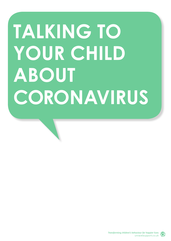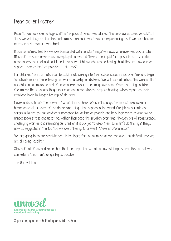#### Dear parent/carer

Recently we have seen a huge shift in the pace at which we address the coronavirus issue. As adults, I think we will all agree that this feels almost surreal in what we are experiencing, as if we have become extras in a film we are watching!

It can sometimes feel like we are bombarded with constant negative news wherever we look or listen. Much of the same news is also overplayed on every different media platform possible too: TV, radio, newspapers, internet and social media. So how might our children be feeling about this and how can we support them as best as possible at this time?

For children, this information can be subliminally sinking into their subconscious minds over time and begin to activate more intense feelings of worry, anxiety and distress. We will have all noticed the worries that our children communicate and often wondered where they may have come from. The things children feel mirror the situations they experience and news stories they are hearing, which impact on their emotional brain to trigger feelings of distress.

Never underestimate the power of what children hear. We can't change the impact coronavirus is having on us all, or some of the distressing things that happen in the world. Our job as parents and carers is to protect our children's innocence for as long as possible and help their minds develop without unnecessary stress and upset. So, rather than ease the situation over time, through lots of reassurance, challenging worries and reminding our children it is our job to keep them safe, let's do the right things now as suggested in the top tips we are offering, to prevent future emotional upset.

We are going to do our absolute best to be there for you as much as we can over this difficult time we are all facing together.

Stay safe all of you and remember the little steps that we all do now will help us beat this so that we can return to normality as quickly as possible.

The Unravel Team



Supporting you on behalf of your child's school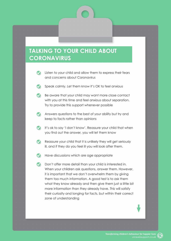- $\bullet$ Listen to your child and allow them to express their fears and concerns about Coronavirus
- Speak calmly. Let them know it's OK to feel anxious
- $\bullet$ Be aware that your child may want more close contact with you at this time and feel anxious about separation. Try to provide this support whenever possible
- Answers questions to the best of your ability but try and keep to facts rather than opinions
- It's ok to say 'I don't know'. Reassure your child that when you find out the answer, you will let them know
- Reassure your child that it is unlikely they will get seriously ill, and if they do you feel ill you will look after them.
- Have discussions which are age appropriate
- **Don't offer more detail than your child is interested in.** When your children ask questions, answer them. However, it is important that we don't overwhelm them by giving them too much information. A good test is to ask them what they know already and then give them just a little bit more information than they already have. This will satisfy their curiosity and longing for facts, but within their correct zone of understanding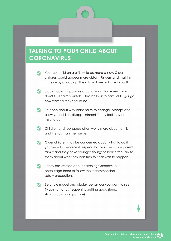- Younger children are likely to be more clingy. Older children could appear more distant. Understand that this is their way of coping. They do not mean to be difficult
- Stay as calm as possible around your child even if you don't feel calm yourself. Children look to parents to gauge how worried they should be.
- Be open about why plans have to change. Accept and allow your child's disappointment if they feel they are missing out
- Children and teenagers often worry more about family and friends than themselves
- Older children may be concerned about what to do if you were to become ill, especially if you are a one parent family and they have younger siblings to look after. Talk to them about who they can turn to if this was to happen
- If they are worried about catching Coronavirus, encourage them to follow the recommended safety precautions
- Be a role model and display behaviour you want to see  $\bullet$ (washing hands frequently, getting good sleep, staying calm and positive)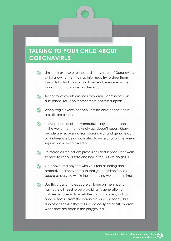- **V** Limit their exposure to the media coverage of Coronavirus whilst allowing them to stay informed. Try to steer them towards factual information from reliable sources rather than rumours, opinions and hearsay
- **Try not to let events around Coronavirus dominate your** discussions. Talk about other more positive subjects.
- When tragic events happen, remind children that these are still rare events
- Remind them of all the wonderful things that happen in the world that the news always doesn't report. Many people are recovering from coronavirus and genuine acts of kindness are being activated to unite us at a time when separation is being asked of us
- Reinforce all the brilliant professions and services that work so hard to keep us safe and look after us if we do get ill
- Go above and beyond with your role as caring and protective parents/carers so that your children feel as secure as possible within their changing world at this time
- Use this situation to educate children on the important habits we all need to be practising. A generation of children who learn to wash their hands properly will not only protect us from the coronavirus spread today, but also other illnesses that will spread easily amongst children when they are back in the playground